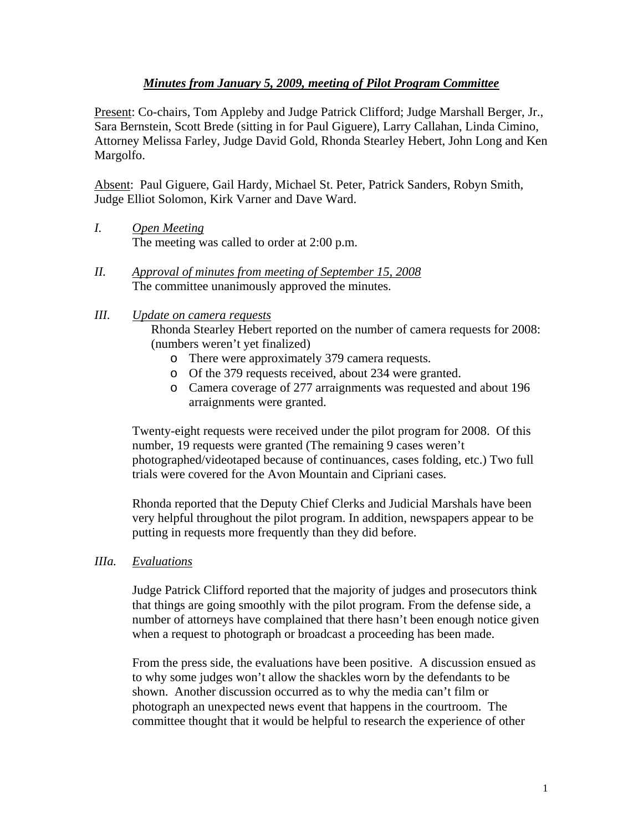## *Minutes from January 5, 2009, meeting of Pilot Program Committee*

Present: Co-chairs, Tom Appleby and Judge Patrick Clifford; Judge Marshall Berger, Jr., Sara Bernstein, Scott Brede (sitting in for Paul Giguere), Larry Callahan, Linda Cimino, Attorney Melissa Farley, Judge David Gold, Rhonda Stearley Hebert, John Long and Ken Margolfo.

Absent: Paul Giguere, Gail Hardy, Michael St. Peter, Patrick Sanders, Robyn Smith, Judge Elliot Solomon, Kirk Varner and Dave Ward.

- *I. Open Meeting*  The meeting was called to order at 2:00 p.m.
- *II. Approval of minutes from meeting of September 15, 2008* The committee unanimously approved the minutes.
- *III. Update on camera requests*

Rhonda Stearley Hebert reported on the number of camera requests for 2008: (numbers weren't yet finalized)

- o There were approximately 379 camera requests.
- o Of the 379 requests received, about 234 were granted.
- o Camera coverage of 277 arraignments was requested and about 196 arraignments were granted.

Twenty-eight requests were received under the pilot program for 2008. Of this number, 19 requests were granted (The remaining 9 cases weren't photographed/videotaped because of continuances, cases folding, etc.) Two full trials were covered for the Avon Mountain and Cipriani cases.

Rhonda reported that the Deputy Chief Clerks and Judicial Marshals have been very helpful throughout the pilot program. In addition, newspapers appear to be putting in requests more frequently than they did before.

*IIIa. Evaluations*

Judge Patrick Clifford reported that the majority of judges and prosecutors think that things are going smoothly with the pilot program. From the defense side, a number of attorneys have complained that there hasn't been enough notice given when a request to photograph or broadcast a proceeding has been made.

From the press side, the evaluations have been positive. A discussion ensued as to why some judges won't allow the shackles worn by the defendants to be shown. Another discussion occurred as to why the media can't film or photograph an unexpected news event that happens in the courtroom. The committee thought that it would be helpful to research the experience of other